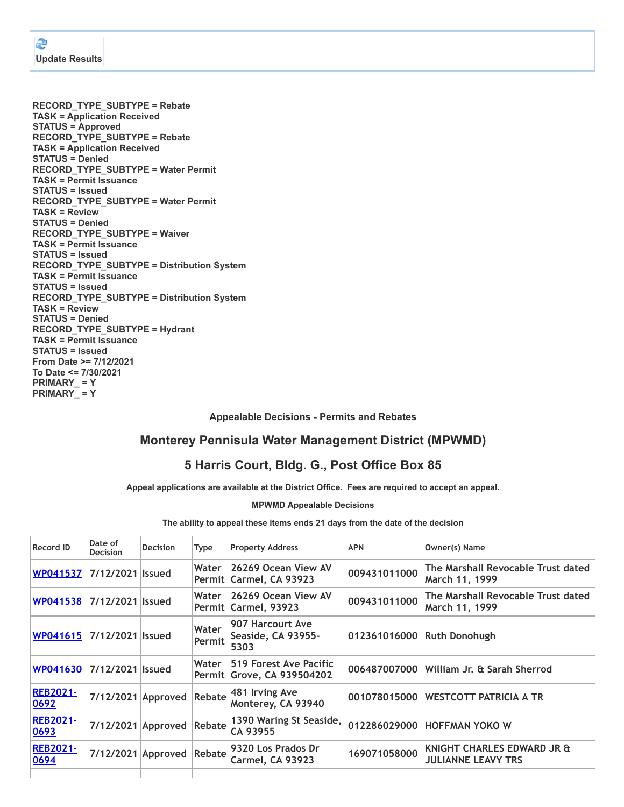**RECORD\_TYPE\_SUBTYPE = Rebate TASK = Application Received STATUS = Approved RECORD\_TYPE\_SUBTYPE = Rebate TASK = Application Received STATUS = Denied RECORD\_TYPE\_SUBTYPE = Water Permit TASK = Permit Issuance STATUS = Issued RECORD\_TYPE\_SUBTYPE = Water Permit TASK = Review STATUS = Denied RECORD\_TYPE\_SUBTYPE = Waiver TASK = Permit Issuance STATUS = Issued RECORD\_TYPE\_SUBTYPE = Distribution System TASK = Permit Issuance STATUS = Issued RECORD\_TYPE\_SUBTYPE = Distribution System TASK = Review STATUS = Denied RECORD\_TYPE\_SUBTYPE = Hydrant TASK = Permit Issuance STATUS = Issued From Date >= 7/12/2021 To Date <= 7/30/2021 PRIMARY\_ = Y PRIMARY\_ = Y**

**Appealable Decisions - Permits and Rebates**

## **Monterey Pennisula Water Management District (MPWMD)**

## **5 Harris Court, Bldg. G., Post Office Box 85**

**Appeal applications are available at the District Office. Fees are required to accept an appeal.**

**MPWMD Appealable Decisions**

**The ability to appeal these items ends 21 days from the date of the decision**

| <b>Record ID</b>        | Date of<br><b>Decision</b> | <b>Decision</b>           | <b>Type</b>     | <b>Property Address</b>                                     | <b>APN</b>                 | Owner(s) Name                                           |
|-------------------------|----------------------------|---------------------------|-----------------|-------------------------------------------------------------|----------------------------|---------------------------------------------------------|
| WP041537                | 7/12/2021 Issued           |                           | Water           | 26269 Ocean View AV<br>Permit   Carmel, CA 93923            | 009431011000               | The Marshall Revocable Trust dated<br>March 11, 1999    |
| <b>WP041538</b>         | 7/12/2021 Issued           |                           | Water           | 26269 Ocean View AV<br>Permit Carmel, 93923                 | 009431011000               | The Marshall Revocable Trust dated<br>March 11, 1999    |
| WP041615                | 7/12/2021 Issued           |                           | Water<br>Permit | 907 Harcourt Ave<br>Seaside, CA 93955-<br>5303              | 012361016000 Ruth Donohugh |                                                         |
| <b>WP041630</b>         | 7/12/2021 Issued           |                           | Water           | 519 Forest Ave Pacific<br><b>Permit Grove, CA 939504202</b> |                            | 006487007000 William Jr. & Sarah Sherrod                |
| <b>REB2021-</b><br>0692 |                            | 7/12/2021 Approved Rebate |                 | 481 Irving Ave<br>Monterey, CA 93940                        |                            | 001078015000 WESTCOTT PATRICIA A TR                     |
| <b>REB2021-</b><br>0693 | 7/12/2021 Approved         |                           | Rebate          | 1390 Waring St Seaside,<br>CA 93955                         |                            | 012286029000 HOFFMAN YOKO W                             |
| <b>REB2021-</b><br>0694 |                            | 7/12/2021 Approved Rebate |                 | 9320 Los Prados Dr<br><b>Carmel, CA 93923</b>               | 169071058000               | KNIGHT CHARLES EDWARD JR &<br><b>JULIANNE LEAVY TRS</b> |
|                         |                            |                           |                 |                                                             |                            |                                                         |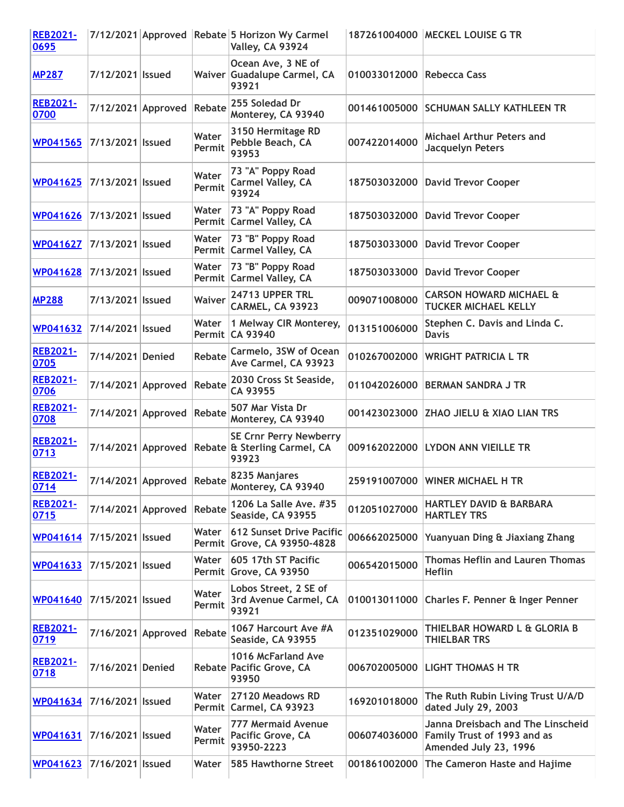| <b>REB2021-</b><br>0695 |                    |                           |                 | 7/12/2021 Approved Rebate 5 Horizon Wy Carmel<br>Valley, CA 93924                         |                           | 187261004000   MECKEL LOUISE G TR                                                         |
|-------------------------|--------------------|---------------------------|-----------------|-------------------------------------------------------------------------------------------|---------------------------|-------------------------------------------------------------------------------------------|
| <b>MP287</b>            | 7/12/2021   Issued |                           |                 | Ocean Ave, 3 NE of<br>Waiver Guadalupe Carmel, CA<br>93921                                | 010033012000 Rebecca Cass |                                                                                           |
| <b>REB2021-</b><br>0700 |                    | 7/12/2021 Approved Rebate |                 | 255 Soledad Dr<br>Monterey, CA 93940                                                      |                           | 001461005000 SCHUMAN SALLY KATHLEEN TR                                                    |
| <b>WP041565</b>         | 7/13/2021   Issued |                           | Water<br>Permit | 3150 Hermitage RD<br>Pebble Beach, CA<br>93953                                            | 007422014000              | Michael Arthur Peters and<br>Jacquelyn Peters                                             |
| WP041625                | 7/13/2021   Issued |                           | Water<br>Permit | 73 "A" Poppy Road<br><b>Carmel Valley, CA</b><br>93924                                    | 187503032000              | <b>David Trevor Cooper</b>                                                                |
| <b>WP041626</b>         | 7/13/2021   Issued |                           | Water           | 73 "A" Poppy Road<br>Permit Carmel Valley, CA                                             | 187503032000              | <b>David Trevor Cooper</b>                                                                |
| <b>WP041627</b>         | 7/13/2021   Issued |                           | Water           | 73 "B" Poppy Road<br>Permit Carmel Valley, CA                                             | 187503033000              | <b>David Trevor Cooper</b>                                                                |
| <b>WP041628</b>         | 7/13/2021   Issued |                           | Water           | 73 "B" Poppy Road<br>Permit Carmel Valley, CA                                             | 187503033000              | <b>David Trevor Cooper</b>                                                                |
| <b>MP288</b>            | 7/13/2021 Issued   |                           | <b>Waiver</b>   | 24713 UPPER TRL<br><b>CARMEL, CA 93923</b>                                                | 009071008000              | <b>CARSON HOWARD MICHAEL &amp;</b><br><b>TUCKER MICHAEL KELLY</b>                         |
| <b>WP041632</b>         | 7/14/2021   Issued |                           | Water           | 1 Melway CIR Monterey,<br>Permit CA 93940                                                 | 013151006000              | Stephen C. Davis and Linda C.<br><b>Davis</b>                                             |
| <b>REB2021-</b><br>0705 | 7/14/2021 Denied   |                           | Rebate          | Carmelo, 3SW of Ocean<br>Ave Carmel, CA 93923                                             | 010267002000              | <b>WRIGHT PATRICIA L TR</b>                                                               |
| <b>REB2021-</b><br>0706 |                    | 7/14/2021 Approved        | Rebate          | 2030 Cross St Seaside,<br>CA 93955                                                        | 011042026000              | <b>BERMAN SANDRA J TR</b>                                                                 |
| <b>REB2021-</b><br>0708 |                    | 7/14/2021 Approved Rebate |                 | 507 Mar Vista Dr<br>Monterey, CA 93940                                                    |                           | 001423023000 ZHAO JIELU & XIAO LIAN TRS                                                   |
| <b>REB2021-</b><br>0713 |                    |                           |                 | <b>SE Crnr Perry Newberry</b><br>7/14/2021 Approved Rebate & Sterling Carmel, CA<br>93923 |                           | 009162022000 LYDON ANN VIEILLE TR                                                         |
| <b>REB2021-</b><br>0714 |                    | 7/14/2021 Approved Rebate |                 | 8235 Manjares<br>Monterey, CA 93940                                                       |                           | 259191007000 WINER MICHAEL H TR                                                           |
| <b>REB2021-</b><br>0715 |                    | 7/14/2021 Approved Rebate |                 | 1206 La Salle Ave. #35<br>Seaside, CA 93955                                               | 012051027000              | <b>HARTLEY DAVID &amp; BARBARA</b><br><b>HARTLEY TRS</b>                                  |
| <b>WP041614</b>         | 7/15/2021   Issued |                           | Water           | <b>612 Sunset Drive Pacific</b><br>Permit Grove, CA 93950-4828                            | 006662025000              | Yuanyuan Ding & Jiaxiang Zhang                                                            |
| <b>WP041633</b>         | 7/15/2021   Issued |                           | Water           | 605 17th ST Pacific<br>Permit Grove, CA 93950                                             | 006542015000              | <b>Thomas Heflin and Lauren Thomas</b><br><b>Heflin</b>                                   |
| WP041640                | 7/15/2021   Issued |                           | Water<br>Permit | Lobos Street, 2 SE of<br>3rd Avenue Carmel, CA<br>93921                                   | 010013011000              | Charles F. Penner & Inger Penner                                                          |
| <b>REB2021-</b><br>0719 |                    | 7/16/2021 Approved        | Rebate          | 1067 Harcourt Ave #A<br>Seaside, CA 93955                                                 | 012351029000              | THIELBAR HOWARD L & GLORIA B<br>THIELBAR TRS                                              |
| <b>REB2021-</b><br>0718 | 7/16/2021 Denied   |                           |                 | 1016 McFarland Ave<br>Rebate Pacific Grove, CA<br>93950                                   | 006702005000              | LIGHT THOMAS H TR                                                                         |
| <b>WP041634</b>         | 7/16/2021   Issued |                           | Water           | 27120 Meadows RD<br>Permit Carmel, CA 93923                                               | 169201018000              | The Ruth Rubin Living Trust U/A/D<br>dated July 29, 2003                                  |
| <b>WP041631</b>         | 7/16/2021   Issued |                           | Water<br>Permit | <b>777 Mermaid Avenue</b><br>Pacific Grove, CA<br>93950-2223                              | 006074036000              | Janna Dreisbach and The Linscheid<br>Family Trust of 1993 and as<br>Amended July 23, 1996 |
| <b>WP041623</b>         | 7/16/2021   Issued |                           | Water           | 585 Hawthorne Street                                                                      | 001861002000              | The Cameron Haste and Hajime                                                              |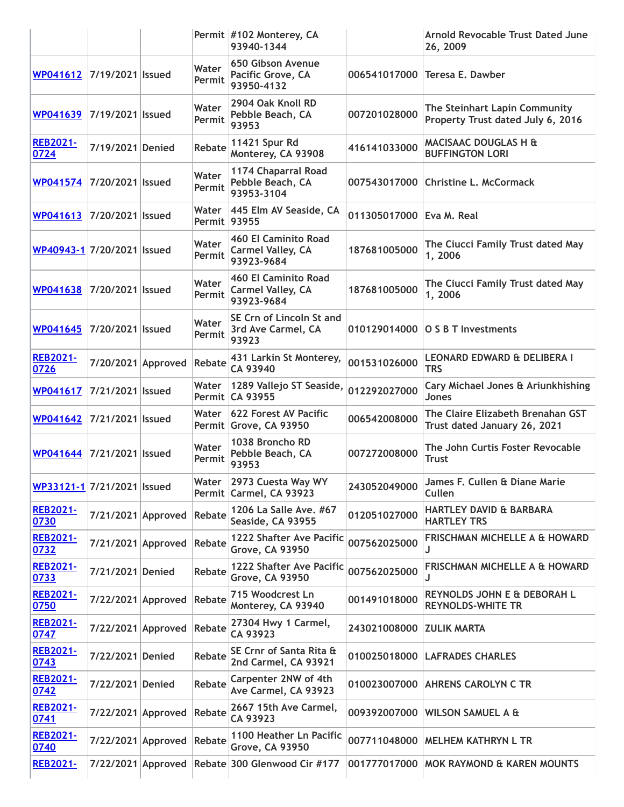|                            |                           |                 | Permit #102 Monterey, CA<br>93940-1344                                |              | <b>Arnold Revocable Trust Dated June</b><br>26, 2009               |
|----------------------------|---------------------------|-----------------|-----------------------------------------------------------------------|--------------|--------------------------------------------------------------------|
| WP041612 7/19/2021 Issued  |                           | Water<br>Permit | 650 Gibson Avenue<br>Pacific Grove, CA<br>93950-4132                  | 006541017000 | Teresa E. Dawber                                                   |
| WP041639 7/19/2021 Issued  |                           | Water<br>Permit | 2904 Oak Knoll RD<br>Pebble Beach, CA<br>93953                        | 007201028000 | The Steinhart Lapin Community<br>Property Trust dated July 6, 2016 |
| <b>REB2021-</b><br>0724    | 7/19/2021 Denied          | <b>Rebate</b>   | 11421 Spur Rd<br>Monterey, CA 93908                                   | 416141033000 | MACISAAC DOUGLAS H &<br><b>BUFFINGTON LORI</b>                     |
| WP041574 7/20/2021 Issued  |                           | Water<br>Permit | 1174 Chaparral Road<br>Pebble Beach, CA<br>93953-3104                 | 007543017000 | <b>Christine L. McCormack</b>                                      |
| WP041613 7/20/2021 Issued  |                           | Permit 93955    | Water   445 Elm AV Seaside, CA                                        | 011305017000 | Eva M. Real                                                        |
| WP40943-1 7/20/2021 Issued |                           | Water<br>Permit | <b>460 El Caminito Road</b><br><b>Carmel Valley, CA</b><br>93923-9684 | 187681005000 | The Ciucci Family Trust dated May<br>1,2006                        |
| WP041638 7/20/2021 Issued  |                           | Water<br>Permit | <b>460 El Caminito Road</b><br><b>Carmel Valley, CA</b><br>93923-9684 | 187681005000 | The Ciucci Family Trust dated May<br>1,2006                        |
| WP041645 7/20/2021 Issued  |                           | Water<br>Permit | SE Crn of Lincoln St and<br>3rd Ave Carmel, CA<br>93923               | 010129014000 | <b>O S B T Investments</b>                                         |
| <b>REB2021-</b><br>0726    | 7/20/2021 Approved Rebate |                 | 431 Larkin St Monterey,<br>CA 93940                                   | 001531026000 | <b>LEONARD EDWARD &amp; DELIBERA I</b><br><b>TRS</b>               |
| WP041617 7/21/2021 Issued  |                           | Water           | 1289 Vallejo ST Seaside,<br>Permit CA 93955                           | 012292027000 | Cary Michael Jones & Ariunkhishing<br><b>Jones</b>                 |
| WP041642 7/21/2021 Issued  |                           | Water           | 622 Forest AV Pacific<br>Permit Grove, CA 93950                       | 006542008000 | The Claire Elizabeth Brenahan GST<br>Trust dated January 26, 2021  |
| WP041644 7/21/2021 Issued  |                           | Water<br>Permit | 1038 Broncho RD<br>Pebble Beach, CA<br>93953                          | 007272008000 | The John Curtis Foster Revocable<br><b>Trust</b>                   |
| WP33121-1 7/21/2021 Issued |                           | Water           | 2973 Cuesta Way WY<br>Permit Carmel, CA 93923                         | 243052049000 | James F. Cullen & Diane Marie<br>Cullen                            |
| <b>REB2021-</b><br>0730    | 7/21/2021 Approved Rebate |                 | 1206 La Salle Ave. #67<br>Seaside, CA 93955                           | 012051027000 | <b>HARTLEY DAVID &amp; BARBARA</b><br><b>HARTLEY TRS</b>           |
| <b>REB2021-</b><br>0732    | 7/21/2021 Approved Rebate |                 | 1222 Shafter Ave Pacific<br><b>Grove, CA 93950</b>                    | 007562025000 | <b>FRISCHMAN MICHELLE A &amp; HOWARD</b><br>J                      |
| <b>REB2021-</b><br>0733    | 7/21/2021 Denied          | Rebate          | 1222 Shafter Ave Pacific<br><b>Grove, CA 93950</b>                    | 007562025000 | <b>FRISCHMAN MICHELLE A &amp; HOWARD</b>                           |
| <b>REB2021-</b><br>0750    | 7/22/2021 Approved        | Rebate          | 715 Woodcrest Ln<br>Monterey, CA 93940                                | 001491018000 | REYNOLDS JOHN E & DEBORAH L<br><b>REYNOLDS-WHITE TR</b>            |
| <b>REB2021-</b><br>0747    | 7/22/2021 Approved Rebate |                 | 27304 Hwy 1 Carmel,<br>CA 93923                                       | 243021008000 | <b>ZULIK MARTA</b>                                                 |
| <b>REB2021-</b><br>0743    | 7/22/2021 Denied          | <b>Rebate</b>   | SE Crnr of Santa Rita &<br>2nd Carmel, CA 93921                       | 010025018000 | <b>LAFRADES CHARLES</b>                                            |
| <b>REB2021-</b><br>0742    | 7/22/2021 Denied          | Rebate          | Carpenter 2NW of 4th<br>Ave Carmel, CA 93923                          | 010023007000 | <b>AHRENS CAROLYN C TR</b>                                         |
| <b>REB2021-</b><br>0741    | 7/22/2021 Approved Rebate |                 | 2667 15th Ave Carmel,<br>CA 93923                                     | 009392007000 | <b>WILSON SAMUEL A &amp;</b>                                       |
| <b>REB2021-</b><br>0740    | 7/22/2021 Approved Rebate |                 | 1100 Heather Ln Pacific<br><b>Grove, CA 93950</b>                     | 007711048000 | <b>MELHEM KATHRYN L TR</b>                                         |
| <b>REB2021-</b>            |                           |                 | 7/22/2021 Approved Rebate 300 Glenwood Cir #177                       |              | 001777017000 MOK RAYMOND & KAREN MOUNTS                            |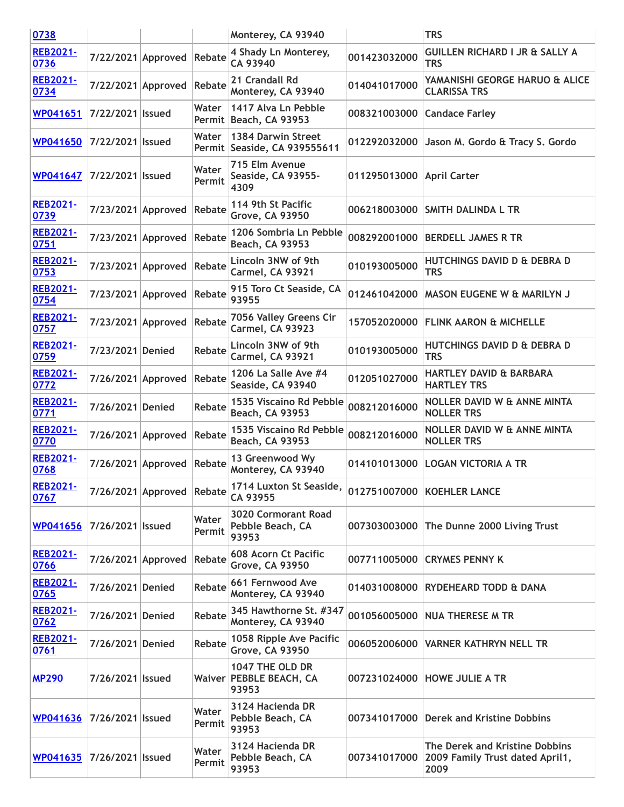| 0738                    |                    |                           |                 | Monterey, CA 93940                                      |                           | <b>TRS</b>                                                                |
|-------------------------|--------------------|---------------------------|-----------------|---------------------------------------------------------|---------------------------|---------------------------------------------------------------------------|
| <b>REB2021-</b><br>0736 |                    | 7/22/2021 Approved Rebate |                 | 4 Shady Ln Monterey,<br>CA 93940                        | 001423032000              | <b>GUILLEN RICHARD I JR &amp; SALLY A</b><br><b>TRS</b>                   |
| <b>REB2021-</b><br>0734 | 7/22/2021 Approved |                           | Rebate          | 21 Crandall Rd<br>Monterey, CA 93940                    | 014041017000              | YAMANISHI GEORGE HARUO & ALICE<br><b>CLARISSA TRS</b>                     |
| WP041651                | 7/22/2021   Issued |                           | Water           | 1417 Alva Ln Pebble<br>Permit Beach, CA 93953           | 008321003000              | <b>Candace Farley</b>                                                     |
| WP041650                | 7/22/2021   Issued |                           | Water           | 1384 Darwin Street<br>Permit Seaside, CA 939555611      | 012292032000              | Jason M. Gordo & Tracy S. Gordo                                           |
| <b>WP041647</b>         | 7/22/2021 Issued   |                           | Water<br>Permit | 715 Elm Avenue<br><b>Seaside, CA 93955-</b><br>4309     | 011295013000 April Carter |                                                                           |
| <b>REB2021-</b><br>0739 | 7/23/2021 Approved |                           | Rebate          | 114 9th St Pacific<br><b>Grove, CA 93950</b>            |                           | 006218003000 SMITH DALINDA L TR                                           |
| <b>REB2021-</b><br>0751 | 7/23/2021 Approved |                           | Rebate          | 1206 Sombria Ln Pebble<br>Beach, CA 93953               | 008292001000              | <b>BERDELL JAMES R TR</b>                                                 |
| <b>REB2021-</b><br>0753 | 7/23/2021 Approved |                           | Rebate          | Lincoln 3NW of 9th<br>Carmel, CA 93921                  | 010193005000              | <b>HUTCHINGS DAVID D &amp; DEBRA D</b><br><b>TRS</b>                      |
| <b>REB2021-</b><br>0754 | 7/23/2021 Approved |                           | Rebate          | 915 Toro Ct Seaside, CA<br>93955                        | 012461042000              | <b>MASON EUGENE W &amp; MARILYN J</b>                                     |
| <b>REB2021-</b><br>0757 | 7/23/2021 Approved |                           | Rebate          | 7056 Valley Greens Cir<br>Carmel, CA 93923              |                           | 157052020000 FLINK AARON & MICHELLE                                       |
| <b>REB2021-</b><br>0759 | 7/23/2021 Denied   |                           | Rebate          | Lincoln 3NW of 9th<br>Carmel, CA 93921                  | 010193005000              | <b>HUTCHINGS DAVID D &amp; DEBRA D</b><br><b>TRS</b>                      |
| <b>REB2021-</b><br>0772 | 7/26/2021 Approved |                           | Rebate          | 1206 La Salle Ave #4<br>Seaside, CA 93940               | 012051027000              | <b>HARTLEY DAVID &amp; BARBARA</b><br><b>HARTLEY TRS</b>                  |
| <b>REB2021-</b><br>0771 | 7/26/2021 Denied   |                           | Rebate          | 1535 Viscaino Rd Pebble<br>Beach, CA 93953              | 008212016000              | <b>NOLLER DAVID W &amp; ANNE MINTA</b><br><b>NOLLER TRS</b>               |
| <b>REB2021-</b><br>0770 | 7/26/2021 Approved |                           | Rebate          | 1535 Viscaino Rd Pebble<br>Beach, CA 93953              | 008212016000              | <b>NOLLER DAVID W &amp; ANNE MINTA</b><br><b>NOLLER TRS</b>               |
| <b>REB2021-</b><br>0768 | 7/26/2021 Approved |                           | Rebate          | 13 Greenwood Wy<br>Monterey, CA 93940                   | 014101013000              | <b>LOGAN VICTORIA A TR</b>                                                |
| <b>REB2021-</b><br>0767 |                    | 7/26/2021 Approved Rebate |                 | 1714 Luxton St Seaside,<br>CA 93955                     |                           | 012751007000 KOEHLER LANCE                                                |
| <b>WP041656</b>         | 7/26/2021   Issued |                           | Water<br>Permit | <b>3020 Cormorant Road</b><br>Pebble Beach, CA<br>93953 |                           | 007303003000 The Dunne 2000 Living Trust                                  |
| <b>REB2021-</b><br>0766 | 7/26/2021 Approved |                           | Rebate          | 608 Acorn Ct Pacific<br><b>Grove, CA 93950</b>          |                           | 007711005000 CRYMES PENNY K                                               |
| <b>REB2021-</b><br>0765 | 7/26/2021 Denied   |                           | Rebate          | 661 Fernwood Ave<br>Monterey, CA 93940                  |                           | 014031008000 RYDEHEARD TODD & DANA                                        |
| <b>REB2021-</b><br>0762 | 7/26/2021 Denied   |                           | Rebate          | 345 Hawthorne St. #347<br>Monterey, CA 93940            |                           | 001056005000 NUA THERESE M TR                                             |
| <b>REB2021-</b><br>0761 | 7/26/2021 Denied   |                           | Rebate          | 1058 Ripple Ave Pacific<br><b>Grove, CA 93950</b>       |                           | 006052006000 VARNER KATHRYN NELL TR                                       |
| <b>MP290</b>            | 7/26/2021   Issued |                           |                 | 1047 THE OLD DR<br>Waiver PEBBLE BEACH, CA<br>93953     |                           | 007231024000 HOWE JULIE A TR                                              |
| WP041636                | 7/26/2021 Issued   |                           | Water<br>Permit | 3124 Hacienda DR<br>Pebble Beach, CA<br>93953           |                           | 007341017000 Derek and Kristine Dobbins                                   |
| <b>WP041635</b>         | 7/26/2021   Issued |                           | Water<br>Permit | 3124 Hacienda DR<br>Pebble Beach, CA<br>93953           | 007341017000              | The Derek and Kristine Dobbins<br>2009 Family Trust dated April1,<br>2009 |